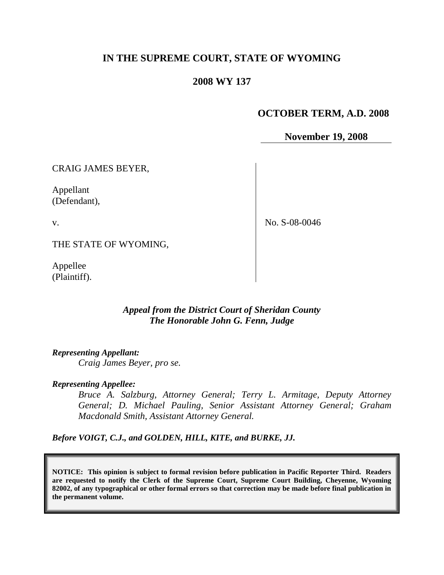# **IN THE SUPREME COURT, STATE OF WYOMING**

## **2008 WY 137**

# **OCTOBER TERM, A.D. 2008**

**November 19, 2008**

CRAIG JAMES BEYER,

Appellant (Defendant),

v.

No. S-08-0046

THE STATE OF WYOMING,

Appellee (Plaintiff).

## *Appeal from the District Court of Sheridan County The Honorable John G. Fenn, Judge*

*Representing Appellant:*

*Craig James Beyer, pro se.*

#### *Representing Appellee:*

*Bruce A. Salzburg, Attorney General; Terry L. Armitage, Deputy Attorney General; D. Michael Pauling, Senior Assistant Attorney General; Graham Macdonald Smith, Assistant Attorney General.*

*Before VOIGT, C.J., and GOLDEN, HILL, KITE, and BURKE, JJ.*

**NOTICE: This opinion is subject to formal revision before publication in Pacific Reporter Third. Readers are requested to notify the Clerk of the Supreme Court, Supreme Court Building, Cheyenne, Wyoming 82002, of any typographical or other formal errors so that correction may be made before final publication in the permanent volume.**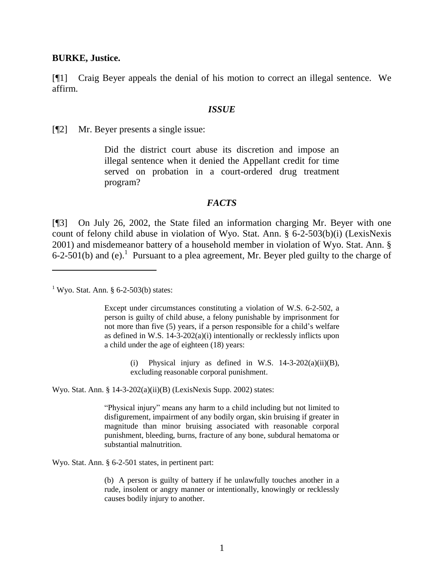#### **BURKE, Justice.**

[¶1] Craig Beyer appeals the denial of his motion to correct an illegal sentence. We affirm.

#### *ISSUE*

[¶2] Mr. Beyer presents a single issue:

Did the district court abuse its discretion and impose an illegal sentence when it denied the Appellant credit for time served on probation in a court-ordered drug treatment program?

#### *FACTS*

[¶3] On July 26, 2002, the State filed an information charging Mr. Beyer with one count of felony child abuse in violation of Wyo. Stat. Ann. § 6-2-503(b)(i) (LexisNexis 2001) and misdemeanor battery of a household member in violation of Wyo. Stat. Ann. §  $6-2-501(b)$  and (e).<sup>1</sup> Pursuant to a plea agreement, Mr. Beyer pled guilty to the charge of

<sup>1</sup> Wyo. Stat. Ann.  $\S$  6-2-503(b) states:

 $\overline{a}$ 

Except under circumstances constituting a violation of W.S. 6-2-502, a person is guilty of child abuse, a felony punishable by imprisonment for not more than five (5) years, if a person responsible for a child's welfare as defined in W.S.  $14-3-202(a)(i)$  intentionally or recklessly inflicts upon a child under the age of eighteen (18) years:

> (i) Physical injury as defined in W.S.  $14-3-202(a)(ii)(B)$ , excluding reasonable corporal punishment.

Wyo. Stat. Ann. § 14-3-202(a)(ii)(B) (LexisNexis Supp. 2002) states:

"Physical injury" means any harm to a child including but not limited to disfigurement, impairment of any bodily organ, skin bruising if greater in magnitude than minor bruising associated with reasonable corporal punishment, bleeding, burns, fracture of any bone, subdural hematoma or substantial malnutrition.

Wyo. Stat. Ann. § 6-2-501 states, in pertinent part:

(b) A person is guilty of battery if he unlawfully touches another in a rude, insolent or angry manner or intentionally, knowingly or recklessly causes bodily injury to another.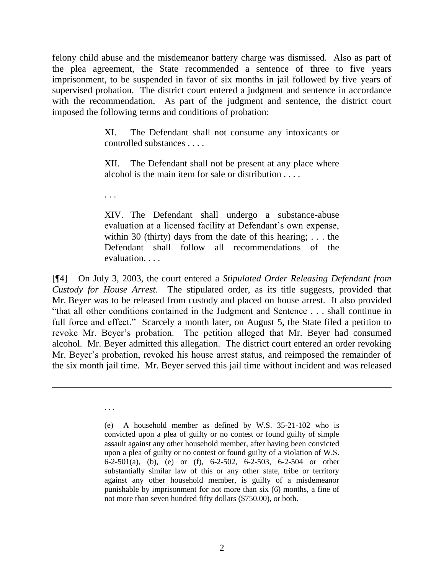felony child abuse and the misdemeanor battery charge was dismissed. Also as part of the plea agreement, the State recommended a sentence of three to five years imprisonment, to be suspended in favor of six months in jail followed by five years of supervised probation. The district court entered a judgment and sentence in accordance with the recommendation. As part of the judgment and sentence, the district court imposed the following terms and conditions of probation:

> XI. The Defendant shall not consume any intoxicants or controlled substances . . . .

> XII. The Defendant shall not be present at any place where alcohol is the main item for sale or distribution . . . .

. . .

. . .

XIV. The Defendant shall undergo a substance-abuse evaluation at a licensed facility at Defendant's own expense, within 30 (thirty) days from the date of this hearing; ... the Defendant shall follow all recommendations of the evaluation. . . .

[¶4] On July 3, 2003, the court entered a *Stipulated Order Releasing Defendant from Custody for House Arrest*. The stipulated order, as its title suggests, provided that Mr. Beyer was to be released from custody and placed on house arrest. It also provided "that all other conditions contained in the Judgment and Sentence . . . shall continue in full force and effect." Scarcely a month later, on August 5, the State filed a petition to revoke Mr. Beyer's probation. The petition alleged that Mr. Beyer had consumed alcohol. Mr. Beyer admitted this allegation. The district court entered an order revoking Mr. Beyer's probation, revoked his house arrest status, and reimposed the remainder of the six month jail time. Mr. Beyer served this jail time without incident and was released

<sup>(</sup>e) A household member as defined by W.S. 35-21-102 who is convicted upon a plea of guilty or no contest or found guilty of simple assault against any other household member, after having been convicted upon a plea of guilty or no contest or found guilty of a violation of W.S. 6-2-501(a), (b), (e) or (f), 6-2-502, 6-2-503, 6-2-504 or other substantially similar law of this or any other state, tribe or territory against any other household member, is guilty of a misdemeanor punishable by imprisonment for not more than six (6) months, a fine of not more than seven hundred fifty dollars (\$750.00), or both.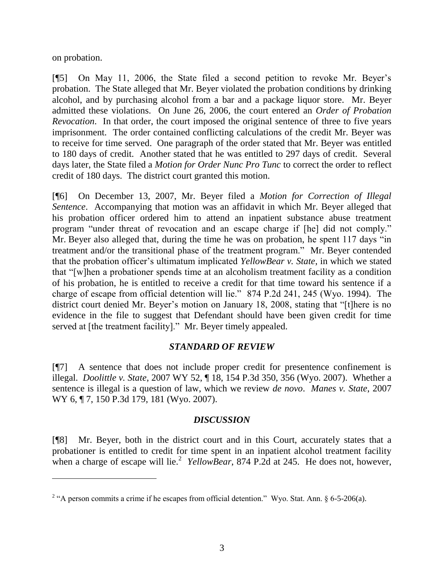on probation.

[¶5] On May 11, 2006, the State filed a second petition to revoke Mr. Beyer's probation. The State alleged that Mr. Beyer violated the probation conditions by drinking alcohol, and by purchasing alcohol from a bar and a package liquor store. Mr. Beyer admitted these violations. On June 26, 2006, the court entered an *Order of Probation Revocation*. In that order, the court imposed the original sentence of three to five years imprisonment. The order contained conflicting calculations of the credit Mr. Beyer was to receive for time served. One paragraph of the order stated that Mr. Beyer was entitled to 180 days of credit. Another stated that he was entitled to 297 days of credit. Several days later, the State filed a *Motion for Order Nunc Pro Tunc* to correct the order to reflect credit of 180 days. The district court granted this motion.

[¶6] On December 13, 2007, Mr. Beyer filed a *Motion for Correction of Illegal Sentence*. Accompanying that motion was an affidavit in which Mr. Beyer alleged that his probation officer ordered him to attend an inpatient substance abuse treatment program "under threat of revocation and an escape charge if [he] did not comply." Mr. Beyer also alleged that, during the time he was on probation, he spent 117 days "in treatment and/or the transitional phase of the treatment program." Mr. Beyer contended that the probation officer's ultimatum implicated *YellowBear v. State*, in which we stated that "[w]hen a probationer spends time at an alcoholism treatment facility as a condition of his probation, he is entitled to receive a credit for that time toward his sentence if a charge of escape from official detention will lie." 874 P.2d 241, 245 (Wyo. 1994). The district court denied Mr. Beyer's motion on January 18, 2008, stating that "[t]here is no evidence in the file to suggest that Defendant should have been given credit for time served at [the treatment facility]." Mr. Beyer timely appealed.

### *STANDARD OF REVIEW*

[¶7] A sentence that does not include proper credit for presentence confinement is illegal. *Doolittle v. State*, 2007 WY 52, ¶ 18, 154 P.3d 350, 356 (Wyo. 2007). Whether a sentence is illegal is a question of law, which we review *de novo*. *Manes v. State*, 2007 WY 6, ¶ 7, 150 P.3d 179, 181 (Wyo. 2007).

### *DISCUSSION*

[¶8] Mr. Beyer, both in the district court and in this Court, accurately states that a probationer is entitled to credit for time spent in an inpatient alcohol treatment facility when a charge of escape will lie.<sup>2</sup> *YellowBear*, 874 P.2d at 245. He does not, however,

<sup>&</sup>lt;sup>2</sup> "A person commits a crime if he escapes from official detention." Wyo. Stat. Ann.  $\S$  6-5-206(a).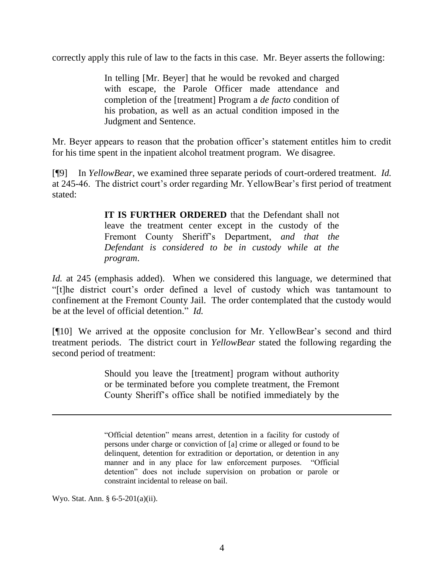correctly apply this rule of law to the facts in this case. Mr. Beyer asserts the following:

In telling [Mr. Beyer] that he would be revoked and charged with escape, the Parole Officer made attendance and completion of the [treatment] Program a *de facto* condition of his probation, as well as an actual condition imposed in the Judgment and Sentence.

Mr. Beyer appears to reason that the probation officer's statement entitles him to credit for his time spent in the inpatient alcohol treatment program. We disagree.

[¶9] In *YellowBear*, we examined three separate periods of court-ordered treatment. *Id.* at 245-46. The district court's order regarding Mr. YellowBear's first period of treatment stated:

> **IT IS FURTHER ORDERED** that the Defendant shall not leave the treatment center except in the custody of the Fremont County Sheriff's Department, *and that the Defendant is considered to be in custody while at the program*.

*Id.* at 245 (emphasis added). When we considered this language, we determined that "[t]he district court's order defined a level of custody which was tantamount to confinement at the Fremont County Jail. The order contemplated that the custody would be at the level of official detention." *Id.*

[¶10] We arrived at the opposite conclusion for Mr. YellowBear's second and third treatment periods. The district court in *YellowBear* stated the following regarding the second period of treatment:

> Should you leave the [treatment] program without authority or be terminated before you complete treatment, the Fremont County Sheriff's office shall be notified immediately by the

Wyo. Stat. Ann. § 6-5-201(a)(ii).

 $\overline{a}$ 

<sup>&</sup>quot;Official detention" means arrest, detention in a facility for custody of persons under charge or conviction of [a] crime or alleged or found to be delinquent, detention for extradition or deportation, or detention in any manner and in any place for law enforcement purposes. "Official detention" does not include supervision on probation or parole or constraint incidental to release on bail.